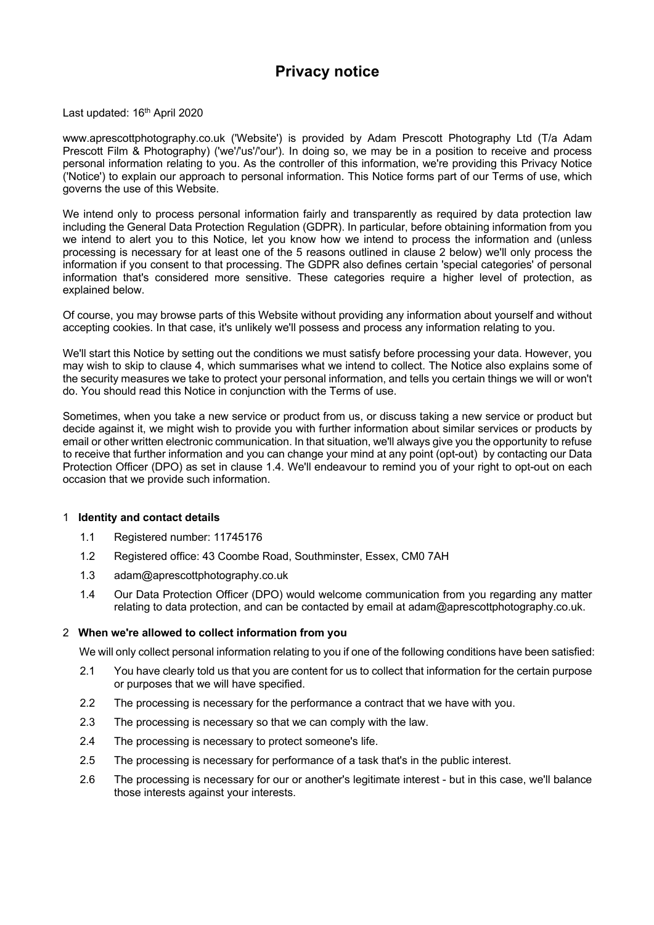# **Privacy notice**

Last updated: 16<sup>th</sup> April 2020

www.aprescottphotography.co.uk ('Website') is provided by Adam Prescott Photography Ltd (T/a Adam Prescott Film & Photography) ('we'/'us'/'our'). In doing so, we may be in a position to receive and process personal information relating to you. As the controller of this information, we're providing this Privacy Notice ('Notice') to explain our approach to personal information. This Notice forms part of our Terms of use, which governs the use of this Website.

We intend only to process personal information fairly and transparently as required by data protection law including the General Data Protection Regulation (GDPR). In particular, before obtaining information from you we intend to alert you to this Notice, let you know how we intend to process the information and (unless processing is necessary for at least one of the 5 reasons outlined in clause 2 below) we'll only process the information if you consent to that processing. The GDPR also defines certain 'special categories' of personal information that's considered more sensitive. These categories require a higher level of protection, as explained below.

Of course, you may browse parts of this Website without providing any information about yourself and without accepting cookies. In that case, it's unlikely we'll possess and process any information relating to you.

We'll start this Notice by setting out the conditions we must satisfy before processing your data. However, you may wish to skip to clause 4, which summarises what we intend to collect. The Notice also explains some of the security measures we take to protect your personal information, and tells you certain things we will or won't do. You should read this Notice in conjunction with the Terms of use.

Sometimes, when you take a new service or product from us, or discuss taking a new service or product but decide against it, we might wish to provide you with further information about similar services or products by email or other written electronic communication. In that situation, we'll always give you the opportunity to refuse to receive that further information and you can change your mind at any point (opt-out) by contacting our Data Protection Officer (DPO) as set in clause 1.4. We'll endeavour to remind you of your right to opt-out on each occasion that we provide such information.

## 1 **Identity and contact details**

- 1.1 Registered number: 11745176
- 1.2 Registered office: 43 Coombe Road, Southminster, Essex, CM0 7AH
- 1.3 adam@aprescottphotography.co.uk
- 1.4 Our Data Protection Officer (DPO) would welcome communication from you regarding any matter relating to data protection, and can be contacted by email at adam@aprescottphotography.co.uk.

## 2 **When we're allowed to collect information from you**

We will only collect personal information relating to you if one of the following conditions have been satisfied:

- 2.1 You have clearly told us that you are content for us to collect that information for the certain purpose or purposes that we will have specified.
- 2.2 The processing is necessary for the performance a contract that we have with you.
- 2.3 The processing is necessary so that we can comply with the law.
- 2.4 The processing is necessary to protect someone's life.
- 2.5 The processing is necessary for performance of a task that's in the public interest.
- 2.6 The processing is necessary for our or another's legitimate interest but in this case, we'll balance those interests against your interests.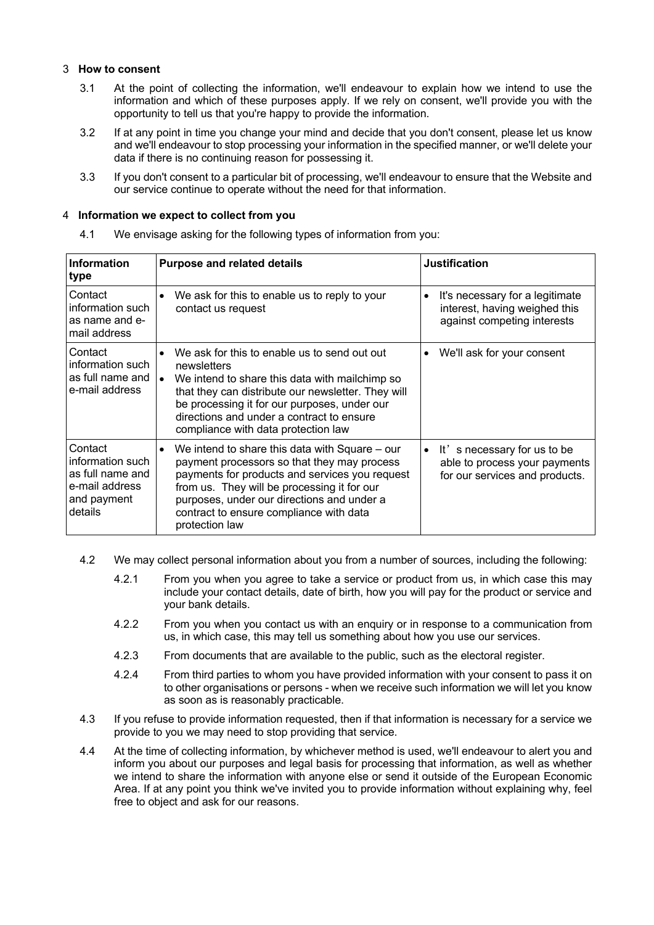### 3 **How to consent**

- 3.1 At the point of collecting the information, we'll endeavour to explain how we intend to use the information and which of these purposes apply. If we rely on consent, we'll provide you with the opportunity to tell us that you're happy to provide the information.
- 3.2 If at any point in time you change your mind and decide that you don't consent, please let us know and we'll endeavour to stop processing your information in the specified manner, or we'll delete your data if there is no continuing reason for possessing it.
- 3.3 If you don't consent to a particular bit of processing, we'll endeavour to ensure that the Website and our service continue to operate without the need for that information.

#### 4 **Information we expect to collect from you**

4.1 We envisage asking for the following types of information from you:

| <b>Information</b><br>type                                                                  | <b>Purpose and related details</b>                                                                                                                                                                                                                                                                                   | <b>Justification</b>                                                                                        |
|---------------------------------------------------------------------------------------------|----------------------------------------------------------------------------------------------------------------------------------------------------------------------------------------------------------------------------------------------------------------------------------------------------------------------|-------------------------------------------------------------------------------------------------------------|
| Contact<br>information such<br>as name and e-<br>mail address                               | We ask for this to enable us to reply to your<br>$\bullet$<br>contact us request                                                                                                                                                                                                                                     | It's necessary for a legitimate<br>interest, having weighed this<br>against competing interests             |
| Contact<br>information such<br>as full name and<br>e-mail address                           | We ask for this to enable us to send out out<br>$\bullet$<br>newsletters<br>We intend to share this data with mailchimp so<br>that they can distribute our newsletter. They will<br>be processing it for our purposes, under our<br>directions and under a contract to ensure<br>compliance with data protection law | We'll ask for your consent<br>$\bullet$                                                                     |
| Contact<br>information such<br>as full name and<br>e-mail address<br>and payment<br>details | We intend to share this data with Square – our<br>payment processors so that they may process<br>payments for products and services you request<br>from us. They will be processing it for our<br>purposes, under our directions and under a<br>contract to ensure compliance with data<br>protection law            | It's necessary for us to be<br>$\bullet$<br>able to process your payments<br>for our services and products. |

- 4.2 We may collect personal information about you from a number of sources, including the following:
	- 4.2.1 From you when you agree to take a service or product from us, in which case this may include your contact details, date of birth, how you will pay for the product or service and your bank details.
	- 4.2.2 From you when you contact us with an enquiry or in response to a communication from us, in which case, this may tell us something about how you use our services.
	- 4.2.3 From documents that are available to the public, such as the electoral register.
	- 4.2.4 From third parties to whom you have provided information with your consent to pass it on to other organisations or persons - when we receive such information we will let you know as soon as is reasonably practicable.
- 4.3 If you refuse to provide information requested, then if that information is necessary for a service we provide to you we may need to stop providing that service.
- 4.4 At the time of collecting information, by whichever method is used, we'll endeavour to alert you and inform you about our purposes and legal basis for processing that information, as well as whether we intend to share the information with anyone else or send it outside of the European Economic Area. If at any point you think we've invited you to provide information without explaining why, feel free to object and ask for our reasons.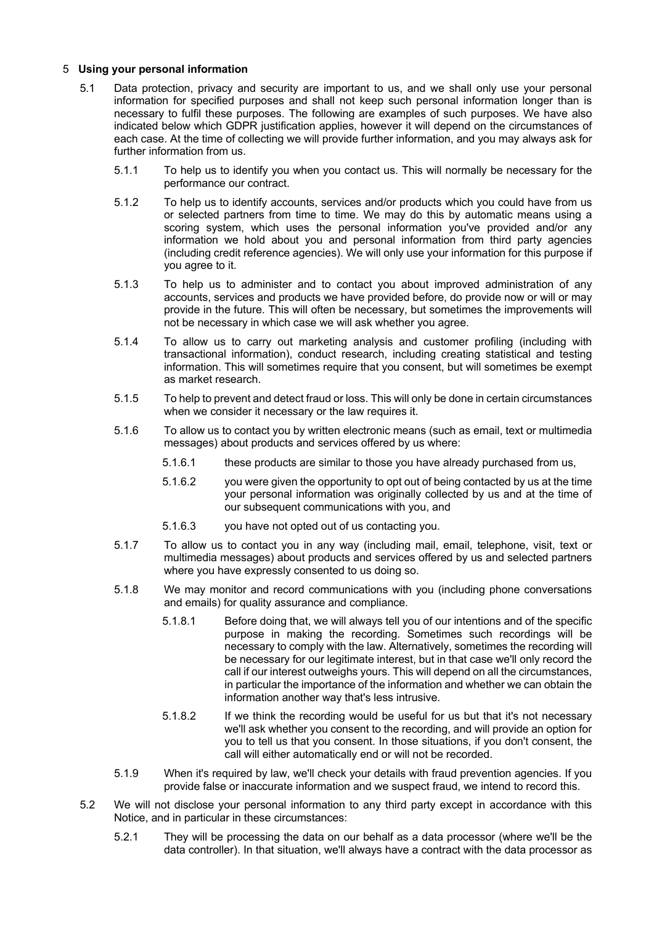#### 5 **Using your personal information**

- 5.1 Data protection, privacy and security are important to us, and we shall only use your personal information for specified purposes and shall not keep such personal information longer than is necessary to fulfil these purposes. The following are examples of such purposes. We have also indicated below which GDPR justification applies, however it will depend on the circumstances of each case. At the time of collecting we will provide further information, and you may always ask for further information from us.
	- 5.1.1 To help us to identify you when you contact us. This will normally be necessary for the performance our contract.
	- 5.1.2 To help us to identify accounts, services and/or products which you could have from us or selected partners from time to time. We may do this by automatic means using a scoring system, which uses the personal information you've provided and/or any information we hold about you and personal information from third party agencies (including credit reference agencies). We will only use your information for this purpose if you agree to it.
	- 5.1.3 To help us to administer and to contact you about improved administration of any accounts, services and products we have provided before, do provide now or will or may provide in the future. This will often be necessary, but sometimes the improvements will not be necessary in which case we will ask whether you agree.
	- 5.1.4 To allow us to carry out marketing analysis and customer profiling (including with transactional information), conduct research, including creating statistical and testing information. This will sometimes require that you consent, but will sometimes be exempt as market research.
	- 5.1.5 To help to prevent and detect fraud or loss. This will only be done in certain circumstances when we consider it necessary or the law requires it.
	- 5.1.6 To allow us to contact you by written electronic means (such as email, text or multimedia messages) about products and services offered by us where:
		- 5.1.6.1 these products are similar to those you have already purchased from us,
		- 5.1.6.2 you were given the opportunity to opt out of being contacted by us at the time your personal information was originally collected by us and at the time of our subsequent communications with you, and
		- 5.1.6.3 you have not opted out of us contacting you.
	- 5.1.7 To allow us to contact you in any way (including mail, email, telephone, visit, text or multimedia messages) about products and services offered by us and selected partners where you have expressly consented to us doing so.
	- 5.1.8 We may monitor and record communications with you (including phone conversations and emails) for quality assurance and compliance.
		- 5.1.8.1 Before doing that, we will always tell you of our intentions and of the specific purpose in making the recording. Sometimes such recordings will be necessary to comply with the law. Alternatively, sometimes the recording will be necessary for our legitimate interest, but in that case we'll only record the call if our interest outweighs yours. This will depend on all the circumstances, in particular the importance of the information and whether we can obtain the information another way that's less intrusive.
		- 5.1.8.2 If we think the recording would be useful for us but that it's not necessary we'll ask whether you consent to the recording, and will provide an option for you to tell us that you consent. In those situations, if you don't consent, the call will either automatically end or will not be recorded.
	- 5.1.9 When it's required by law, we'll check your details with fraud prevention agencies. If you provide false or inaccurate information and we suspect fraud, we intend to record this.
- 5.2 We will not disclose your personal information to any third party except in accordance with this Notice, and in particular in these circumstances:
	- 5.2.1 They will be processing the data on our behalf as a data processor (where we'll be the data controller). In that situation, we'll always have a contract with the data processor as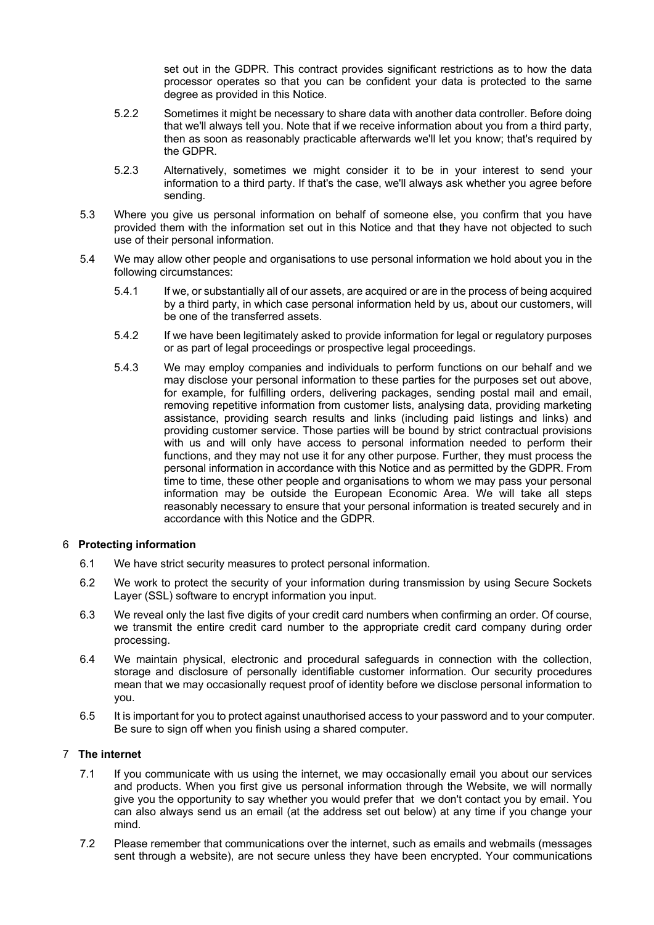set out in the GDPR. This contract provides significant restrictions as to how the data processor operates so that you can be confident your data is protected to the same degree as provided in this Notice.

- 5.2.2 Sometimes it might be necessary to share data with another data controller. Before doing that we'll always tell you. Note that if we receive information about you from a third party, then as soon as reasonably practicable afterwards we'll let you know; that's required by the GDPR.
- 5.2.3 Alternatively, sometimes we might consider it to be in your interest to send your information to a third party. If that's the case, we'll always ask whether you agree before sending.
- 5.3 Where you give us personal information on behalf of someone else, you confirm that you have provided them with the information set out in this Notice and that they have not objected to such use of their personal information.
- 5.4 We may allow other people and organisations to use personal information we hold about you in the following circumstances:
	- 5.4.1 If we, or substantially all of our assets, are acquired or are in the process of being acquired by a third party, in which case personal information held by us, about our customers, will be one of the transferred assets.
	- 5.4.2 If we have been legitimately asked to provide information for legal or regulatory purposes or as part of legal proceedings or prospective legal proceedings.
	- 5.4.3 We may employ companies and individuals to perform functions on our behalf and we may disclose your personal information to these parties for the purposes set out above, for example, for fulfilling orders, delivering packages, sending postal mail and email, removing repetitive information from customer lists, analysing data, providing marketing assistance, providing search results and links (including paid listings and links) and providing customer service. Those parties will be bound by strict contractual provisions with us and will only have access to personal information needed to perform their functions, and they may not use it for any other purpose. Further, they must process the personal information in accordance with this Notice and as permitted by the GDPR. From time to time, these other people and organisations to whom we may pass your personal information may be outside the European Economic Area. We will take all steps reasonably necessary to ensure that your personal information is treated securely and in accordance with this Notice and the GDPR.

## 6 **Protecting information**

- 6.1 We have strict security measures to protect personal information.
- 6.2 We work to protect the security of your information during transmission by using Secure Sockets Layer (SSL) software to encrypt information you input.
- 6.3 We reveal only the last five digits of your credit card numbers when confirming an order. Of course, we transmit the entire credit card number to the appropriate credit card company during order processing.
- 6.4 We maintain physical, electronic and procedural safeguards in connection with the collection, storage and disclosure of personally identifiable customer information. Our security procedures mean that we may occasionally request proof of identity before we disclose personal information to you.
- 6.5 It is important for you to protect against unauthorised access to your password and to your computer. Be sure to sign off when you finish using a shared computer.

## 7 **The internet**

- 7.1 If you communicate with us using the internet, we may occasionally email you about our services and products. When you first give us personal information through the Website, we will normally give you the opportunity to say whether you would prefer that we don't contact you by email. You can also always send us an email (at the address set out below) at any time if you change your mind.
- 7.2 Please remember that communications over the internet, such as emails and webmails (messages sent through a website), are not secure unless they have been encrypted. Your communications